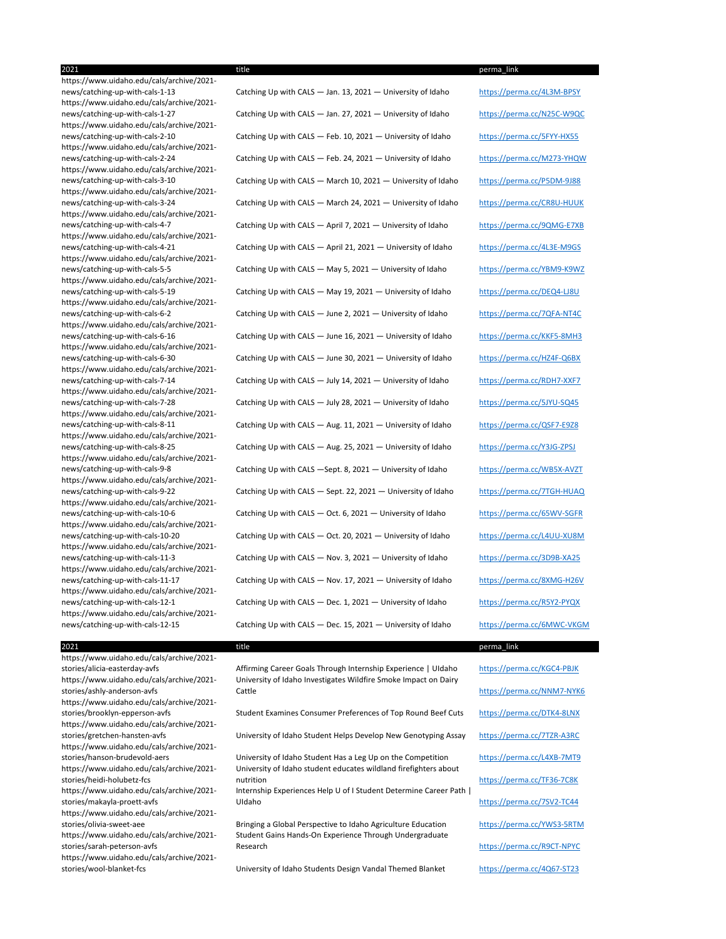2021 title perma\_link https://www.uidaho.edu/cals/archive/2021 https://www.uidaho.edu/cals/archive/2021 https://www.uidaho.edu/cals/archive/2021 https://www.uidaho.edu/cals/archive/2021 https://www.uidaho.edu/cals/archive/2021 https://www.uidaho.edu/cals/archive/2021 https://www.uidaho.edu/cals/archive/2021 https://www.uidaho.edu/cals/archive/2021 https://www.uidaho.edu/cals/archive/2021 https://www.uidaho.edu/cals/archive/2021 https://www.uidaho.edu/cals/archive/2021 https://www.uidaho.edu/cals/archive/2021 https://www.uidaho.edu/cals/archive/2021 https://www.uidaho.edu/cals/archive/2021 https://www.uidaho.edu/cals/archive/2021 https://www.uidaho.edu/cals/archive/2021 https://www.uidaho.edu/cals/archive/2021 https://www.uidaho.edu/cals/archive/2021 https://www.uidaho.edu/cals/archive/2021 https://www.uidaho.edu/cals/archive/2021 https://www.uidaho.edu/cals/archive/2021 https://www.uidaho.edu/cals/archive/2021 https://www.uidaho.edu/cals/archive/2021 https://www.uidaho.edu/cals/archive/2021 https://www.uidaho.edu/cals/archive/2021-

# news/catching-up-with-cals-1-13 Catching Up with CALS - Jan. 13, 2021 - University of Idaho https://perma.cc/4L3M-BPSY news/catching-up-with-cals-1-27 Catching Up with CALS - Jan. 27, 2021 - University of Idaho https://perma.cc/N25C-W9QC news/catching-up-with-cals-2-10 Catching Up with CALS — Feb. 10, 2021 — University of Idaho https://perma.cc/5FYY-HX55 news/catching-up-with-cals-2-24 Catching Up with CALS - Feb. 24, 2021 - University of Idaho https://perma.cc/M273-YHQW news/catching-up-with-cals-3-10 Catching Up with CALS — March 10, 2021 — University of Idaho https://perma.cc/P5DM-9J88 news/catching-up-with-cals-3-24 Catching Up with CALS — March 24, 2021 — University of Idaho https://perma.cc/CR8U-HUUK news/catching-up-with-cals-4-7 Catching Up with CALS - April 7, 2021 - University of Idaho https://perma.cc/9QMG-E7XB news/catching-up-with-cals-4-21 Catching Up with CALS — April 21, 2021 — University of Idaho https://perma.cc/4L3E-M9GS news/catching-up-with-cals-5-5 Catching Up with CALS — May 5, 2021 — University of Idaho https://perma.cc/YBM9-K9WZ news/catching-up-with-cals-5-19 Catching Up with CALS — May 19, 2021 — University of Idaho https://perma.cc/DEQ4-LJ8U news/catching-up-with-cals-6-2 Catching Up with CALS — June 2, 2021 — University of Idaho https://perma.cc/7QFA-NT4C news/catching-up-with-cals-6-16 Catching Up with CALS — June 16, 2021 — University of Idaho https://perma.cc/KKF5-8MH3 news/catching-up-with-cals-6-30 Catching Up with CALS — June 30, 2021 — University of Idaho https://perma.cc/HZ4F-Q6BX news/catching-up-with-cals-7-14 Catching Up with CALS — July 14, 2021 — University of Idaho https://perma.cc/RDH7-XXF7 news/catching-up-with-cals-7-28 Catching Up with CALS - July 28, 2021 - University of Idaho https://perma.cc/5JYU-SQ45 news/catching-up-with-cals-8-11 Catching Up with CALS - Aug. 11, 2021 - University of Idaho https://perma.cc/QSF7-E9Z8 news/catching-up-with-cals-8-25 Catching Up with CALS - Aug. 25, 2021 - University of Idaho https://perma.cc/Y3JG-ZPSJ news/catching-up-with-cals-9-8 Catching Up with CALS —Sept. 8, 2021 — University of Idaho https://perma.cc/WB5X-AVZT news/catching-up-with-cals-9-22 Catching Up with CALS - Sept. 22, 2021 - University of Idaho https://perma.cc/7TGH-HUAQ news/catching-up-with-cals-10-6 Catching Up with CALS - Oct. 6, 2021 - University of Idaho https://perma.cc/65WV-SGFR news/catching-up-with-cals-10-20 Catching Up with CALS - Oct. 20, 2021 - University of Idaho https://perma.cc/L4UU-XU8M news/catching-up-with-cals-11-3 Catching Up with CALS — Nov. 3, 2021 — University of Idaho https://perma.cc/3D9B-XA25 news/catching-up-with-cals-11-17 Catching Up with CALS — Nov. 17, 2021 — University of Idaho https://perma.cc/8XMG-H26V news/catching-up-with-cals-12-1 Catching Up with CALS - Dec. 1, 2021 - University of Idaho https://perma.cc/R5Y2-PYQX news/catching-up-with-cals-12-15 Catching Up with CALS - Dec. 15, 2021 - University of Idaho https://perma.cc/6MWC-VKGM

stories/alicia-easterday-avfs **Affirming Career Goals Through Internship Experience** | UIdaho https://perma.cc/KGC4-PBJK University of Idaho Investigates Wildfire Smoke Impact on Dairy Cattle https://perma.cc/NNM7-NYK6

stories/hanson-brudevold-aers University of Idaho Student Has a Leg Up on the Competition https://perma.cc/L4XB-7MT9 University of Idaho student educates wildland firefighters about nutrition https://perma.cc/TF36-7C8K

## 2021 title perma\_link

stories/brooklyn-epperson-avfs Student Examines Consumer Preferences of Top Round Beef Cuts https://perma.cc/DTK4-8LNX

stories/gretchen-hansten-avfs University of Idaho Student Helps Develop New Genotyping Assay https://perma.cc/7TZR-A3RC

https://www.uidaho.edu/cals/archive/2021 https://www.uidaho.edu/cals/archive/2021 stories/ashly-anderson-avfs https://www.uidaho.edu/cals/archive/2021 https://www.uidaho.edu/cals/archive/2021 https://www.uidaho.edu/cals/archive/2021 https://www.uidaho.edu/cals/archive/2021 stories/heidi-holubetz-fcs https://www.uidaho.edu/cals/archive/2021 stories/makayla-proett-avfs https://www.uidaho.edu/cals/archive/2021 https://www.uidaho.edu/cals/archive/2021 stories/sarah-peterson-avfs https://www.uidaho.edu/cals/archive/2021-

Internship Experiences Help U of I Student Determine Career Path | UIdaho https://perma.cc/7SV2-TC44

stories/olivia-sweet-aee **Bringing a Global Perspective to Idaho Agriculture Education** https://perma.cc/YWS3-5RTM Student Gains Hands-On Experience Through Undergraduate Research https://perma.cc/R9CT-NPYC

stories/wool-blanket-fcs University of Idaho Students Design Vandal Themed Blanket https://perma.cc/4Q67-ST23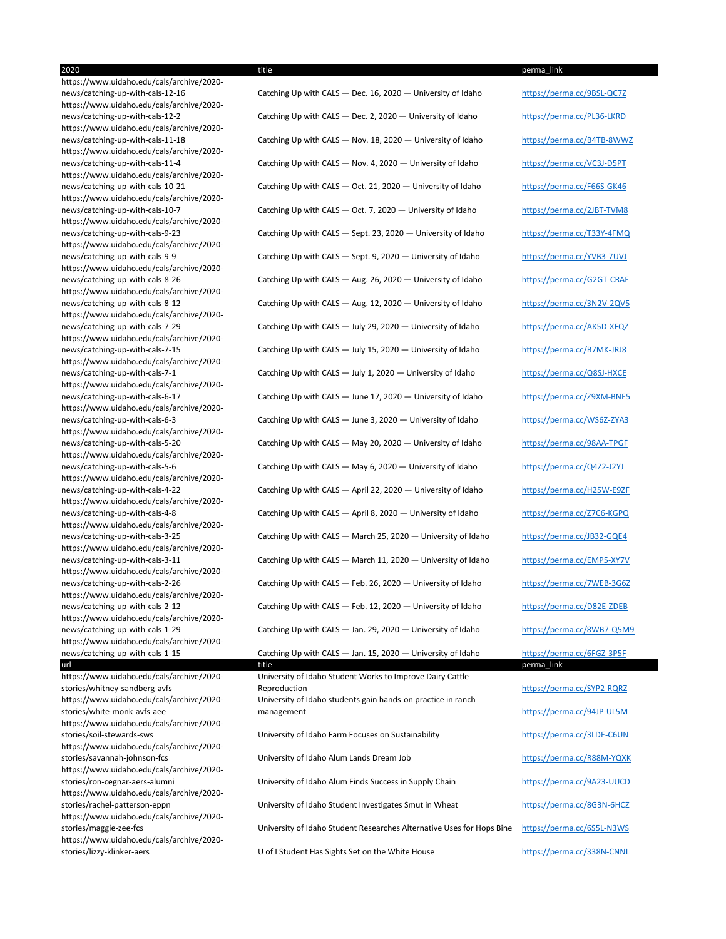news/catching-up-with-cals-12-16 Catching Up with CALS — Dec. 16, 2020 — University of Idaho https://perma.cc/9BSL-QC7Z news/catching-up-with-cals-12-2 Catching Up with CALS — Dec. 2, 2020 — University of Idaho https://perma.cc/PL36-LKRD news/catching-up-with-cals-11-18 Catching Up with CALS — Nov. 18, 2020 — University of Idaho https://perma.cc/B4TB-8WWZ news/catching-up-with-cals-11-4 Catching Up with CALS — Nov. 4, 2020 — University of Idaho https://perma.cc/VC3J-D5PT news/catching-up-with-cals-10-21 Catching Up with CALS — Oct. 21, 2020 — University of Idaho https://perma.cc/F66S-GK46 news/catching-up-with-cals-10-7 Catching Up with CALS - Oct. 7, 2020 - University of Idaho https://perma.cc/2JBT-TVM8 news/catching-up-with-cals-9-23 Catching Up with CALS — Sept. 23, 2020 — University of Idaho https://perma.cc/T33Y-4FMQ news/catching-up-with-cals-9-9 Catching Up with CALS - Sept. 9, 2020 - University of Idaho https://perma.cc/YVB3-7UVJ news/catching-up-with-cals-8-26 Catching Up with CALS — Aug. 26, 2020 — University of Idaho https://perma.cc/G2GT-CRAE news/catching-up-with-cals-8-12 Catching Up with CALS — Aug. 12, 2020 — University of Idaho https://perma.cc/3N2V-2QV5 news/catching-up-with-cals-7-29 Catching Up with CALS — July 29, 2020 — University of Idaho https://perma.cc/AK5D-XFQZ news/catching-up-with-cals-7-15 Catching Up with CALS — July 15, 2020 — University of Idaho https://perma.cc/B7MK-JRJ8 news/catching-up-with-cals-7-1 Catching Up with CALS — July 1, 2020 — University of Idaho https://perma.cc/Q8SJ-HXCE news/catching-up-with-cals-6-17 Catching Up with CALS — June 17, 2020 — University of Idaho https://perma.cc/Z9XM-BNE5 news/catching-up-with-cals-6-3 Catching Up with CALS — June 3, 2020 — University of Idaho https://perma.cc/WS6Z-ZYA3 news/catching-up-with-cals-5-20 Catching Up with CALS — May 20, 2020 — University of Idaho https://perma.cc/98AA-TPGF news/catching-up-with-cals-5-6 Catching Up with CALS — May 6, 2020 — University of Idaho https://perma.cc/Q4Z2-J2YJ news/catching-up-with-cals-4-22 Catching Up with CALS — April 22, 2020 — University of Idaho https://perma.cc/H25W-E9ZF news/catching-up-with-cals-4-8 Catching Up with CALS — April 8, 2020 — University of Idaho https://perma.cc/Z7C6-KGPQ news/catching-up-with-cals-3-25 Catching Up with CALS — March 25, 2020 — University of Idaho https://perma.cc/JB32-GQE4 news/catching-up-with-cals-3-11 Catching Up with CALS — March 11, 2020 — University of Idaho https://perma.cc/EMP5-XY7V news/catching-up-with-cals-2-26 Catching Up with CALS — Feb. 26, 2020 — University of Idaho https://perma.cc/7WEB-3G6Z news/catching-up-with-cals-2-12 Catching Up with CALS — Feb. 12, 2020 — University of Idaho https://perma.cc/D82E-ZDEB news/catching-up-with-cals-1-29 Catching Up with CALS — Jan. 29, 2020 — University of Idaho https://perma.cc/8WB7-Q5M9 news/catching-up-with-cals-1-15 Catching Up with CALS — Jan. 15, 2020 — University of Idaho https://perma.cc/6FGZ-3P5F url title title title to be made to be a series of the perma\_link of the perma\_link

2020 title perma\_link https://www.uidaho.edu/cals/archive/2020 https://www.uidaho.edu/cals/archive/2020-

https://www.uidaho.edu/cals/archive/2020 https://www.uidaho.edu/cals/archive/2020 https://www.uidaho.edu/cals/archive/2020 https://www.uidaho.edu/cals/archive/2020 https://www.uidaho.edu/cals/archive/2020 https://www.uidaho.edu/cals/archive/2020 https://www.uidaho.edu/cals/archive/2020 https://www.uidaho.edu/cals/archive/2020 https://www.uidaho.edu/cals/archive/2020 https://www.uidaho.edu/cals/archive/2020 https://www.uidaho.edu/cals/archive/2020 https://www.uidaho.edu/cals/archive/2020 https://www.uidaho.edu/cals/archive/2020 https://www.uidaho.edu/cals/archive/2020 https://www.uidaho.edu/cals/archive/2020 https://www.uidaho.edu/cals/archive/2020 https://www.uidaho.edu/cals/archive/2020 https://www.uidaho.edu/cals/archive/2020 https://www.uidaho.edu/cals/archive/2020 https://www.uidaho.edu/cals/archive/2020 https://www.uidaho.edu/cals/archive/2020 https://www.uidaho.edu/cals/archive/2020 https://www.uidaho.edu/cals/archive/2020-

> University of Idaho Student Works to Improve Dairy Cattle Reproduction https://perma.cc/SYP2-RQRZ University of Idaho students gain hands-on practice in ranch management <https://perma.cc/94JP-UL5M>

stories/maggie-zee-fcs **Notalization Student Researches Alternative Uses for Hops Bine** https://perma.cc/6S5L-N3WS

https://www.uidaho.edu/cals/archive/2020 stories/whitney-sandberg-avfs https://www.uidaho.edu/cals/archive/2020 stories/white-monk-avfs-aee https://www.uidaho.edu/cals/archive/2020 stories/soil-stewards-sws **Supermartic Contracts** University of Idaho Farm Focuses on Sustainability https://perma.cc/3LDE-C6UN https://www.uidaho.edu/cals/archive/2020 stories/savannah-johnson-fcs **Exercical Contracts** University of Idaho Alum Lands Dream Job https://perma.cc/R88M-YQXK https://www.uidaho.edu/cals/archive/2020 stories/ron-cegnar-aers-alumni University of Idaho Alum Finds Success in Supply Chain https://perma.cc/9A23-UUCD https://www.uidaho.edu/cals/archive/2020 stories/rachel-patterson-eppn University of Idaho Student Investigates Smut in Wheat https://perma.cc/8G3N-6HCZ https://www.uidaho.edu/cals/archive/2020 https://www.uidaho.edu/cals/archive/2020 stories/lizzy-klinker-aers U of I Student Has Sights Set on the White House https://perma.cc/338N-CNNL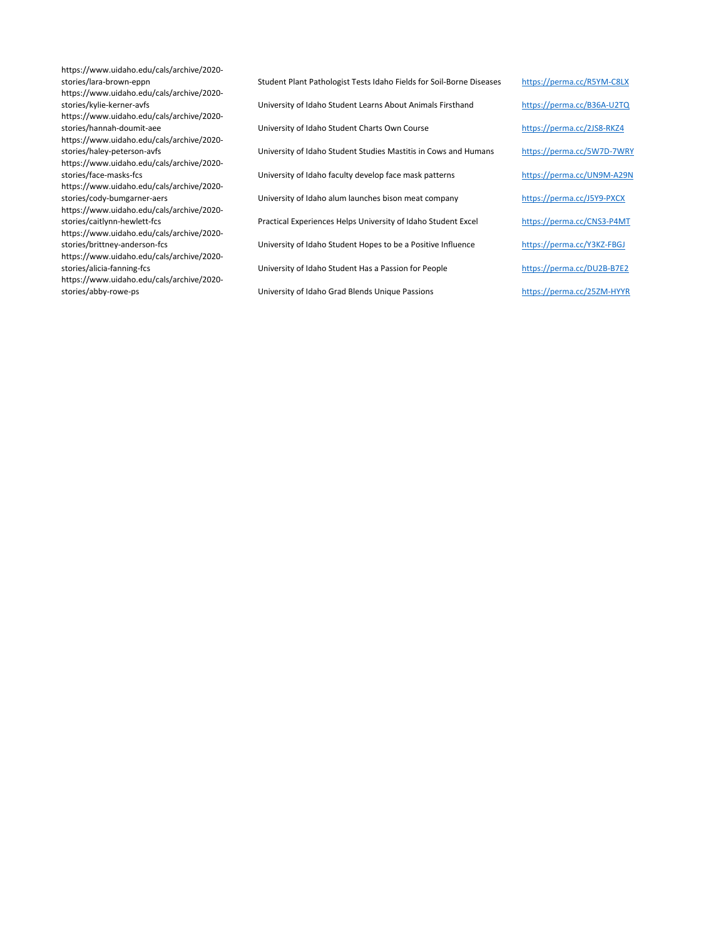https://www.uidaho.edu/cals/archive/2020 https://www.uidaho.edu/cals/archive/2020 https://www.uidaho.edu/cals/archive/2020 https://www.uidaho.edu/cals/archive/2020 https://www.uidaho.edu/cals/archive/2020 https://www.uidaho.edu/cals/archive/2020 https://www.uidaho.edu/cals/archive/2020 https://www.uidaho.edu/cals/archive/2020 https://www.uidaho.edu/cals/archive/2020 https://www.uidaho.edu/cals/archive/2020-

stories/lara-brown-eppn Student Plant Pathologist Tests Idaho Fields for Soil-Borne Diseases https://perma.cc/R5YM-C8LX stories/kylie-kerner-avfs **Entity Contracts** University of Idaho Student Learns About Animals Firsthand https://perma.cc/B36A-U2TQ stories/hannah-doumit-aee University of Idaho Student Charts Own Course https://perma.cc/2JS8-RKZ4 stories/haley-peterson-avfs **Entity Act as Act as Act as University of Idaho Student Studies Mastitis in Cows and Humans** https://perma.cc/5W7D-7WRY stories/face-masks-fcs **Exercice Contracts University of Idaho faculty develop face mask patterns** https://perma.cc/UN9M-A29N stories/cody-bumgarner-aers **Exercice State Constants University of Idaho alum launches bison meat company** https://perma.cc/J5Y9-PXCX stories/caitlynn-hewlett-fcs **Practical Experiences Helps University of Idaho Student Excel** https://perma.cc/CNS3-P4MT stories/brittney-anderson-fcs University of Idaho Student Hopes to be a Positive Influence https://perma.cc/Y3KZ-FBGJ stories/alicia-fanning-fcs **Notalization Contracts** University of Idaho Student Has a Passion for People https://perma.cc/DU2B-B7E2 stories/abby-rowe-ps **Exercice 25 and Structure University of Idaho Grad Blends Unique Passions** https://perma.cc/25ZM-HYYR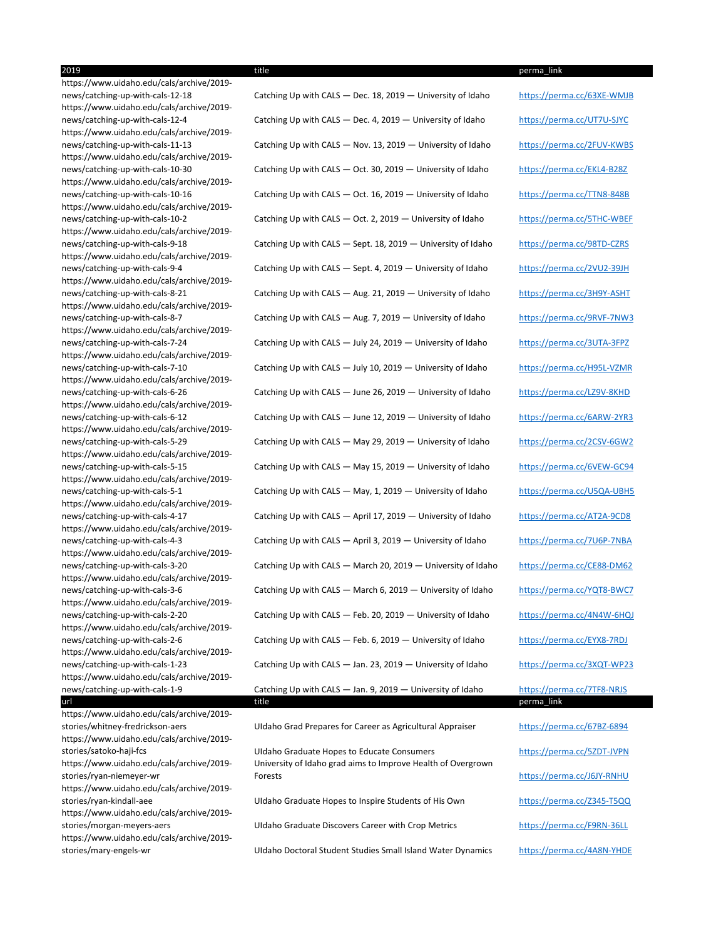https://www.uidaho.edu/cals/archive/2019 https://www.uidaho.edu/cals/archive/2019 https://www.uidaho.edu/cals/archive/2019 https://www.uidaho.edu/cals/archive/2019 https://www.uidaho.edu/cals/archive/2019 https://www.uidaho.edu/cals/archive/2019 https://www.uidaho.edu/cals/archive/2019 https://www.uidaho.edu/cals/archive/2019 https://www.uidaho.edu/cals/archive/2019 https://www.uidaho.edu/cals/archive/2019 https://www.uidaho.edu/cals/archive/2019 https://www.uidaho.edu/cals/archive/2019 https://www.uidaho.edu/cals/archive/2019 https://www.uidaho.edu/cals/archive/2019 https://www.uidaho.edu/cals/archive/2019 https://www.uidaho.edu/cals/archive/2019 https://www.uidaho.edu/cals/archive/2019 https://www.uidaho.edu/cals/archive/2019 https://www.uidaho.edu/cals/archive/2019 https://www.uidaho.edu/cals/archive/2019 https://www.uidaho.edu/cals/archive/2019 https://www.uidaho.edu/cals/archive/2019 https://www.uidaho.edu/cals/archive/2019 https://www.uidaho.edu/cals/archive/2019 https://www.uidaho.edu/cals/archive/2019 https://www.uidaho.edu/cals/archive/2019 https://www.uidaho.edu/cals/archive/2019 https://www.uidaho.edu/cals/archive/2019 stories/ryan-niemeyer-wr https://www.uidaho.edu/cals/archive/2019 https://www.uidaho.edu/cals/archive/2019-

https://www.uidaho.edu/cals/archive/2019-

news/catching-up-with-cals-12-18 Catching Up with CALS — Dec. 18, 2019 — University of Idaho https://perma.cc/63XE-WMJB news/catching-up-with-cals-12-4 Catching Up with CALS — Dec. 4, 2019 — University of Idaho https://perma.cc/UT7U-SJYC news/catching-up-with-cals-11-13 Catching Up with CALS - Nov. 13, 2019 - University of Idaho https://perma.cc/2FUV-KWBS news/catching-up-with-cals-10-30 Catching Up with CALS - Oct. 30, 2019 - University of Idaho https://perma.cc/EKL4-B28Z news/catching-up-with-cals-10-16 Catching Up with CALS - Oct. 16, 2019 - University of Idaho https://perma.cc/TTN8-848B news/catching-up-with-cals-10-2 Catching Up with CALS - Oct. 2, 2019 - University of Idaho https://perma.cc/5THC-WBEF news/catching-up-with-cals-9-18 Catching Up with CALS - Sept. 18, 2019 - University of Idaho https://perma.cc/98TD-CZRS news/catching-up-with-cals-9-4 Catching Up with CALS - Sept. 4, 2019 - University of Idaho https://perma.cc/2VU2-39JH news/catching-up-with-cals-8-21 Catching Up with CALS — Aug. 21, 2019 — University of Idaho https://perma.cc/3H9Y-ASHT news/catching-up-with-cals-8-7 Catching Up with CALS — Aug. 7, 2019 — University of Idaho https://perma.cc/9RVF-7NW3 news/catching-up-with-cals-7-24 Catching Up with CALS - July 24, 2019 - University of Idaho https://perma.cc/3UTA-3FPZ news/catching-up-with-cals-7-10 Catching Up with CALS — July 10, 2019 — University of Idaho https://perma.cc/H95L-VZMR news/catching-up-with-cals-6-26 Catching Up with CALS - June 26, 2019 - University of Idaho https://perma.cc/LZ9V-8KHD news/catching-up-with-cals-6-12 Catching Up with CALS — June 12, 2019 — University of Idaho https://perma.cc/6ARW-2YR3 news/catching-up-with-cals-5-29 Catching Up with CALS — May 29, 2019 — University of Idaho https://perma.cc/2CSV-6GW2 news/catching-up-with-cals-5-15 Catching Up with CALS — May 15, 2019 — University of Idaho https://perma.cc/6VEW-GC94 news/catching-up-with-cals-5-1 Catching Up with CALS — May, 1, 2019 — University of Idaho https://perma.cc/U5QA-UBH5 news/catching-up-with-cals-4-17 Catching Up with CALS — April 17, 2019 — University of Idaho https://perma.cc/AT2A-9CD8 news/catching-up-with-cals-4-3 Catching Up with CALS — April 3, 2019 — University of Idaho https://perma.cc/7U6P-7NBA news/catching-up-with-cals-3-20 Catching Up with CALS — March 20, 2019 — University of Idaho https://perma.cc/CE88-DM62 news/catching-up-with-cals-3-6 Catching Up with CALS — March 6, 2019 — University of Idaho https://perma.cc/YQT8-BWC7 news/catching-up-with-cals-2-20 Catching Up with CALS - Feb. 20, 2019 - University of Idaho https://perma.cc/4N4W-6HQJ news/catching-up-with-cals-2-6 Catching Up with CALS - Feb. 6, 2019 - University of Idaho https://perma.cc/EYX8-7RDJ news/catching-up-with-cals-1-23 Catching Up with CALS - Jan. 23, 2019 - University of Idaho https://perma.cc/3XQT-WP23 news/catching-up-with-cals-1-9 Catching Up with CALS - Jan. 9, 2019 - University of Idaho https://perma.cc/7TF8-NRJS url title title to be made that the set of the set of the set of the set of the set of the perma\_link  $\,$  perma\_link  $\,$ 

stories/whitney-fredrickson-aers UIdaho Grad Prepares for Career as Agricultural Appraiser https://perma.cc/67BZ-6894

stories/satoko-haji-fcs **Subsetive Consult Consumers** determines to Educate Consumers https://perma.cc/5ZDT-JVPN University of Idaho grad aims to Improve Health of Overgrown Forests https://perma.cc/J6JY-RNHU

stories/ryan-kindall-aee UIdaho Graduate Hopes to Inspire Students of His Own https://perma.cc/Z345-T5QQ

stories/morgan-meyers-aers **National State Units Craduate Discovers Career with Crop Metrics** https://perma.cc/F9RN-36LL

stories/mary-engels-wr **National Student Student Studies Small Island Water Dynamics** https://perma.cc/4A8N-YHDE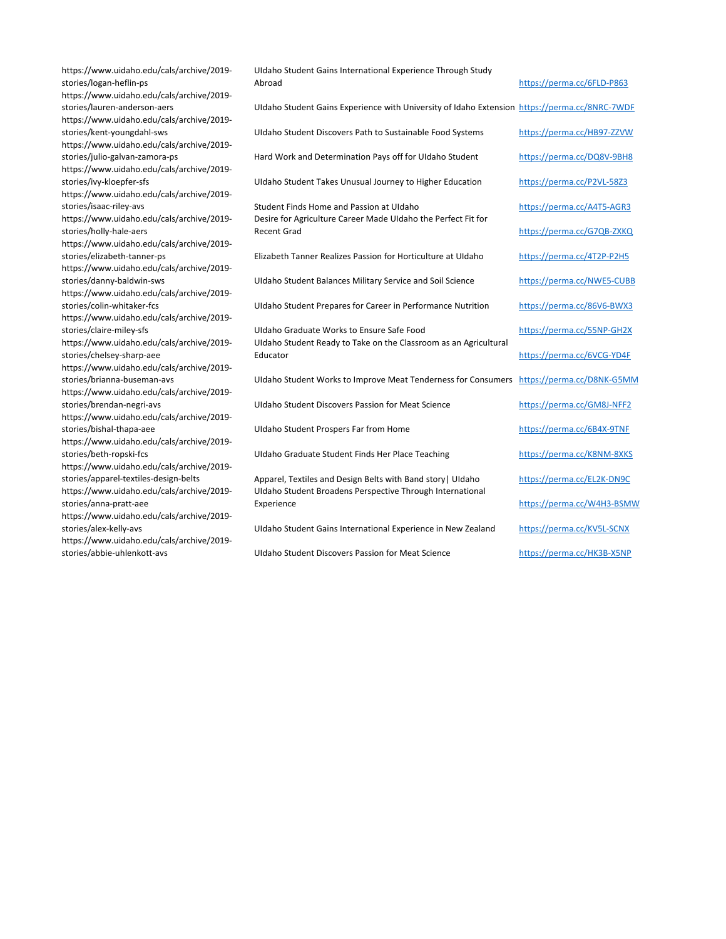| https://www.uidaho.edu/cals/archive/2019-<br>stories/logan-heflin-ps                                                  | Uldaho Student Gains International Experience Through Study<br>Abroad                                                    | https://perma.cc/6FLD-P863 |
|-----------------------------------------------------------------------------------------------------------------------|--------------------------------------------------------------------------------------------------------------------------|----------------------------|
| https://www.uidaho.edu/cals/archive/2019-<br>stories/lauren-anderson-aers                                             | Uldaho Student Gains Experience with University of Idaho Extension https://perma.cc/8NRC-7WDF                            |                            |
| https://www.uidaho.edu/cals/archive/2019-<br>stories/kent-youngdahl-sws<br>https://www.uidaho.edu/cals/archive/2019-  | Uldaho Student Discovers Path to Sustainable Food Systems                                                                | https://perma.cc/HB97-ZZVW |
| stories/julio-galvan-zamora-ps<br>https://www.uidaho.edu/cals/archive/2019-                                           | Hard Work and Determination Pays off for Uldaho Student                                                                  | https://perma.cc/DQ8V-9BH8 |
| stories/ivy-kloepfer-sfs<br>https://www.uidaho.edu/cals/archive/2019-                                                 | Uldaho Student Takes Unusual Journey to Higher Education                                                                 | https://perma.cc/P2VL-58Z3 |
| stories/isaac-riley-avs<br>https://www.uidaho.edu/cals/archive/2019-                                                  | Student Finds Home and Passion at Uldaho<br>Desire for Agriculture Career Made Uldaho the Perfect Fit for                | https://perma.cc/A4T5-AGR3 |
| stories/holly-hale-aers<br>https://www.uidaho.edu/cals/archive/2019-                                                  | <b>Recent Grad</b>                                                                                                       | https://perma.cc/G7QB-ZXKQ |
| stories/elizabeth-tanner-ps<br>https://www.uidaho.edu/cals/archive/2019-                                              | Elizabeth Tanner Realizes Passion for Horticulture at Uldaho                                                             | https://perma.cc/4T2P-P2H5 |
| stories/danny-baldwin-sws<br>https://www.uidaho.edu/cals/archive/2019-                                                | Uldaho Student Balances Military Service and Soil Science                                                                | https://perma.cc/NWE5-CUBB |
| stories/colin-whitaker-fcs<br>https://www.uidaho.edu/cals/archive/2019-                                               | Uldaho Student Prepares for Career in Performance Nutrition                                                              | https://perma.cc/86V6-BWX3 |
| stories/claire-miley-sfs                                                                                              | Uldaho Graduate Works to Ensure Safe Food                                                                                | https://perma.cc/55NP-GH2X |
| https://www.uidaho.edu/cals/archive/2019-<br>stories/chelsey-sharp-aee                                                | Uldaho Student Ready to Take on the Classroom as an Agricultural<br>Educator                                             | https://perma.cc/6VCG-YD4F |
| https://www.uidaho.edu/cals/archive/2019-<br>stories/brianna-buseman-avs<br>https://www.uidaho.edu/cals/archive/2019- | Uldaho Student Works to Improve Meat Tenderness for Consumers https://perma.cc/D8NK-G5MM                                 |                            |
| stories/brendan-negri-avs<br>https://www.uidaho.edu/cals/archive/2019-                                                | <b>Uldaho Student Discovers Passion for Meat Science</b>                                                                 | https://perma.cc/GM8J-NFF2 |
| stories/bishal-thapa-aee<br>https://www.uidaho.edu/cals/archive/2019-                                                 | Uldaho Student Prospers Far from Home                                                                                    | https://perma.cc/6B4X-9TNF |
| stories/beth-ropski-fcs<br>https://www.uidaho.edu/cals/archive/2019-                                                  | Uldaho Graduate Student Finds Her Place Teaching                                                                         | https://perma.cc/K8NM-8XKS |
| stories/apparel-textiles-design-belts<br>https://www.uidaho.edu/cals/archive/2019-                                    | Apparel, Textiles and Design Belts with Band story   Uldaho<br>Uldaho Student Broadens Perspective Through International | https://perma.cc/EL2K-DN9C |
| stories/anna-pratt-aee                                                                                                | Experience                                                                                                               | https://perma.cc/W4H3-BSMW |
| https://www.uidaho.edu/cals/archive/2019-<br>stories/alex-kelly-avs                                                   | Uldaho Student Gains International Experience in New Zealand                                                             | https://perma.cc/KV5L-SCNX |
| https://www.uidaho.edu/cals/archive/2019-<br>stories/abbie-uhlenkott-avs                                              | <b>Uldaho Student Discovers Passion for Meat Science</b>                                                                 | https://perma.cc/HK3B-X5NP |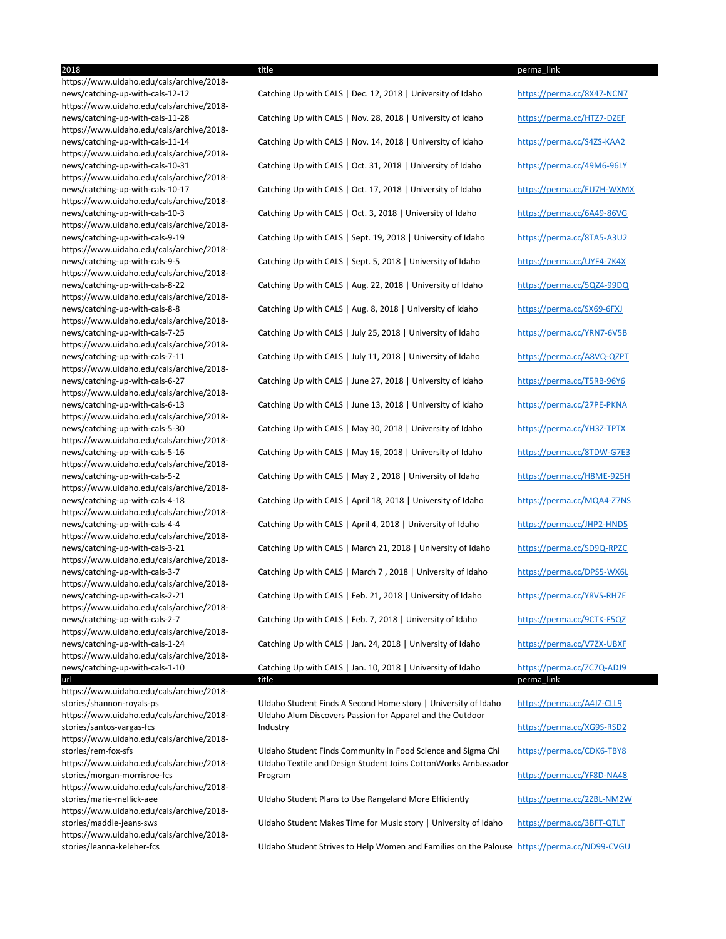https://www.uidaho.edu/cals/archive/2018 https://www.uidaho.edu/cals/archive/2018 https://www.uidaho.edu/cals/archive/2018 https://www.uidaho.edu/cals/archive/2018 https://www.uidaho.edu/cals/archive/2018 https://www.uidaho.edu/cals/archive/2018 https://www.uidaho.edu/cals/archive/2018 https://www.uidaho.edu/cals/archive/2018 https://www.uidaho.edu/cals/archive/2018 https://www.uidaho.edu/cals/archive/2018 https://www.uidaho.edu/cals/archive/2018 https://www.uidaho.edu/cals/archive/2018 https://www.uidaho.edu/cals/archive/2018 https://www.uidaho.edu/cals/archive/2018 https://www.uidaho.edu/cals/archive/2018 https://www.uidaho.edu/cals/archive/2018 https://www.uidaho.edu/cals/archive/2018 https://www.uidaho.edu/cals/archive/2018 https://www.uidaho.edu/cals/archive/2018 https://www.uidaho.edu/cals/archive/2018 https://www.uidaho.edu/cals/archive/2018 https://www.uidaho.edu/cals/archive/2018 https://www.uidaho.edu/cals/archive/2018 https://www.uidaho.edu/cals/archive/2018 https://www.uidaho.edu/cals/archive/2018 news/catching-up-with-cals-1-10 Catching Up with CALS | Jan. 10, 2018 | University of Idaho https://perma.cc/ZC7Q-ADJ9 url title title to be made that the perma\_link of the set of the set of the set of the set of the set of the s https://www.uidaho.edu/cals/archive/2018-

https://www.uidaho.edu/cals/archive/2018 stories/santos-vargas-fcs https://www.uidaho.edu/cals/archive/2018 https://www.uidaho.edu/cals/archive/2018 stories/morgan-morrisroe-fcs https://www.uidaho.edu/cals/archive/2018-

https://www.uidaho.edu/cals/archive/2018-

https://www.uidaho.edu/cals/archive/2018-

news/catching-up-with-cals-12-12 Catching Up with CALS | Dec. 12, 2018 | University of Idaho https://perma.cc/8X47-NCN7 news/catching-up-with-cals-11-28 Catching Up with CALS | Nov. 28, 2018 | University of Idaho https://perma.cc/HTZ7-DZEF news/catching-up-with-cals-11-14 Catching Up with CALS | Nov. 14, 2018 | University of Idaho https://perma.cc/S4ZS-KAA2 news/catching-up-with-cals-10-31 Catching Up with CALS | Oct. 31, 2018 | University of Idaho https://perma.cc/49M6-96LY news/catching-up-with-cals-10-17 Catching Up with CALS | Oct. 17, 2018 | University of Idaho https://perma.cc/EU7H-WXMX news/catching-up-with-cals-10-3 Catching Up with CALS | Oct. 3, 2018 | University of Idaho https://perma.cc/6A49-86VG news/catching-up-with-cals-9-19 Catching Up with CALS | Sept. 19, 2018 | University of Idaho https://perma.cc/8TA5-A3U2 news/catching-up-with-cals-9-5 Catching Up with CALS | Sept. 5, 2018 | University of Idaho https://perma.cc/UYF4-7K4X news/catching-up-with-cals-8-22 Catching Up with CALS | Aug. 22, 2018 | University of Idaho https://perma.cc/5QZ4-99DQ news/catching-up-with-cals-8-8 Catching Up with CALS | Aug. 8, 2018 | University of Idaho https://perma.cc/SX69-6FXJ news/catching-up-with-cals-7-25 Catching Up with CALS | July 25, 2018 | University of Idaho https://perma.cc/YRN7-6V5B news/catching-up-with-cals-7-11 Catching Up with CALS | July 11, 2018 | University of Idaho https://perma.cc/A8VQ-QZPT news/catching-up-with-cals-6-27 Catching Up with CALS | June 27, 2018 | University of Idaho https://perma.cc/T5RB-96Y6 news/catching-up-with-cals-6-13 Catching Up with CALS | June 13, 2018 | University of Idaho https://perma.cc/27PE-PKNA news/catching-up-with-cals-5-30 Catching Up with CALS | May 30, 2018 | University of Idaho https://perma.cc/YH3Z-TPTX news/catching-up-with-cals-5-16 Catching Up with CALS | May 16, 2018 | University of Idaho https://perma.cc/8TDW-G7E3 news/catching-up-with-cals-5-2 Catching Up with CALS | May 2, 2018 | University of Idaho https://perma.cc/H8ME-925H news/catching-up-with-cals-4-18 Catching Up with CALS | April 18, 2018 | University of Idaho https://perma.cc/MQA4-Z7NS news/catching-up-with-cals-4-4 Catching Up with CALS | April 4, 2018 | University of Idaho https://perma.cc/JHP2-HND5 news/catching-up-with-cals-3-21 Catching Up with CALS | March 21, 2018 | University of Idaho https://perma.cc/SD9Q-RPZC news/catching-up-with-cals-3-7 Catching Up with CALS | March 7, 2018 | University of Idaho https://perma.cc/DPS5-WX6L news/catching-up-with-cals-2-21 Catching Up with CALS | Feb. 21, 2018 | University of Idaho https://perma.cc/Y8VS-RH7E news/catching-up-with-cals-2-7 Catching Up with CALS | Feb. 7, 2018 | University of Idaho https://perma.cc/9CTK-F5QZ news/catching-up-with-cals-1-24 Catching Up with CALS | Jan. 24, 2018 | University of Idaho https://perma.cc/V7ZX-UBXF

stories/shannon-royals-ps UIdaho Student Finds A Second Home story | University of Idaho https://perma.cc/A4JZ-CLL9 UIdaho Alum Discovers Passion for Apparel and the Outdoor Industry https://perma.cc/XG9S-RSD2

stories/rem-fox-sfs UIdaho Student Finds Community in Food Science and Sigma Chi https://perma.cc/CDK6-TBY8 UIdaho Textile and Design Student Joins CottonWorks Ambassador Program https://perma.cc/YF8D-NA48

stories/marie-mellick-aee Than UIdaho Student Plans to Use Rangeland More Efficiently https://perma.cc/2ZBL-NM2W

stories/maddie-jeans-sws **UIDAho Student Makes Time for Music story | University of Idaho** https://perma.cc/3BFT-QTLT

stories/leanna-keleher-fcs UIdaho Student Strives to Help Women and Families on the Palouse https://perma.cc/ND99-CVGU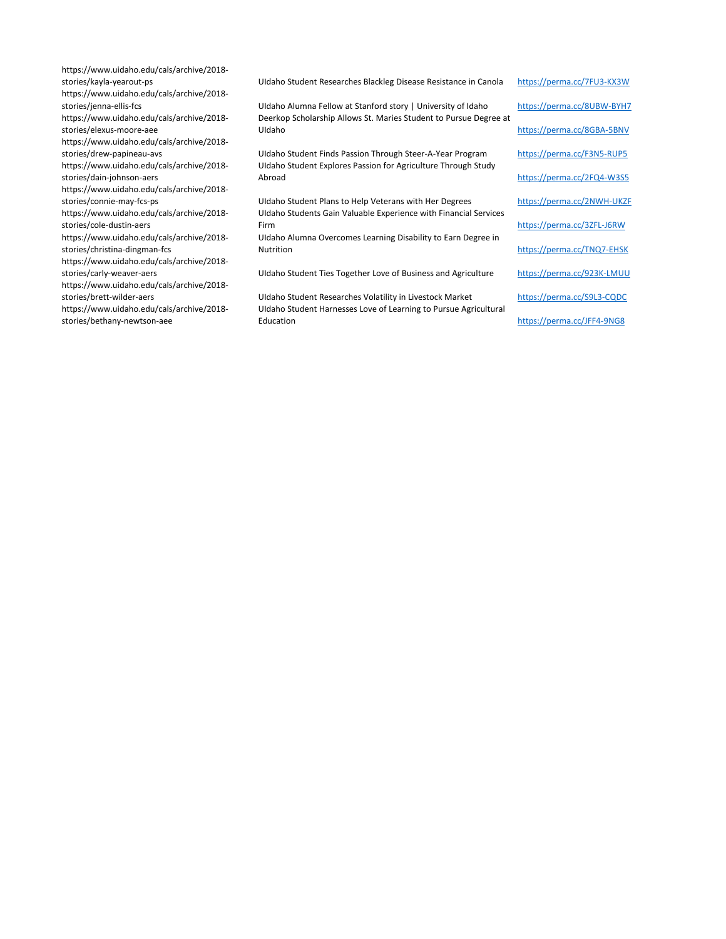https://www.uidaho.edu/cals/archive/2018 https://www.uidaho.edu/cals/archive/2018 https://www.uidaho.edu/cals/archive/2018 stories/elexus-moore-aee https://www.uidaho.edu/cals/archive/2018 https://www.uidaho.edu/cals/archive/2018 stories/dain-johnson-aers https://www.uidaho.edu/cals/archive/2018 https://www.uidaho.edu/cals/archive/2018 stories/cole-dustin-aers https://www.uidaho.edu/cals/archive/2018 stories/christina-dingman-fcs https://www.uidaho.edu/cals/archive/2018 https://www.uidaho.edu/cals/archive/2018-

https://www.uidaho.edu/cals/archive/2018 stories/bethany-newtson-aee

stories/kayla-yearout-ps **National Accord Community Community** UIdaho Student Researches Blackleg Disease Resistance in Canola https://perma.cc/7FU3-KX3W

stories/jenna-ellis-fcs **Nightland Alumna Fellow at Stanford story** | University of Idaho https://perma.cc/8UBW-BYH7 Deerkop Scholarship Allows St. Maries Student to Pursue Degree at UIdaho https://perma.cc/8GBA-5BNV

stories/drew-papineau-avs UIdaho Student Finds Passion Through Steer-A-Year Program https://perma.cc/F3N5-RUP5 UIdaho Student Explores Passion for Agriculture Through Study Abroad https://perma.cc/2FQ4-W3S5

stories/connie-may-fcs-ps **Exercice 2NWH-UKZF** UIdaho Student Plans to Help Veterans with Her Degrees https://perma.cc/2NWH-UKZF UIdaho Students Gain Valuable Experience with Financial Services Firm https://perma.cc/3ZFL-J6RW

> UIdaho Alumna Overcomes Learning Disability to Earn Degree in Nutrition https://perma.cc/TNQ7-EHSK

stories/carly-weaver-aers **National Agriculture** UIdaho Student Ties Together Love of Business and Agriculture https://perma.cc/923K-LMUU

stories/brett-wilder-aers volatility in Livestock Market https://perma.cc/S9L3-CQDC UIdaho Student Harnesses Love of Learning to Pursue Agricultural Education https://perma.cc/JFF4-9NG8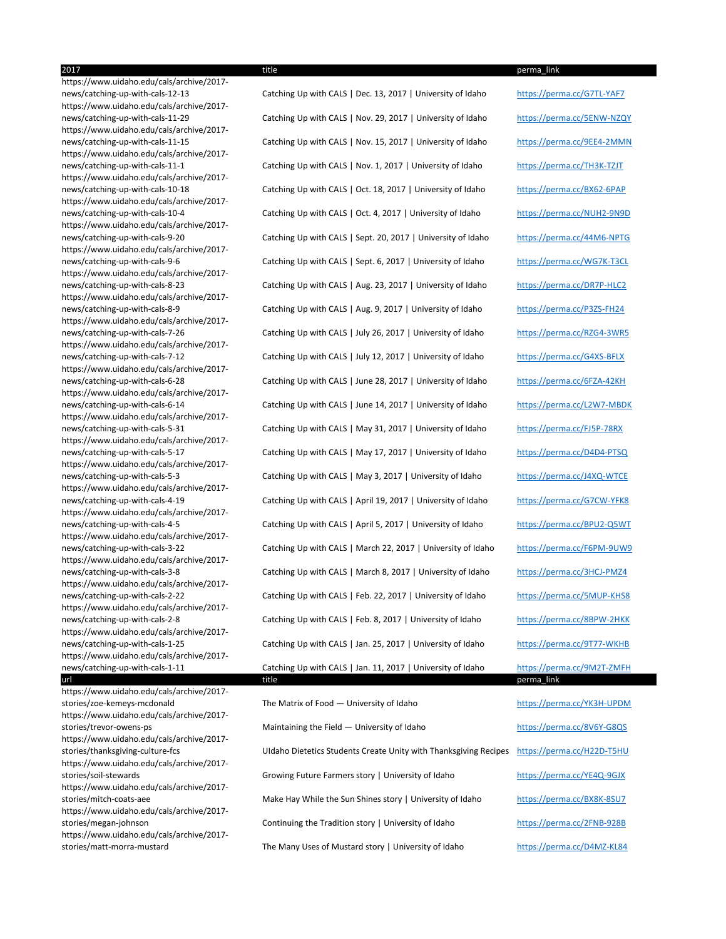https://www.uidaho.edu/cals/archive/2017 https://www.uidaho.edu/cals/archive/2017 https://www.uidaho.edu/cals/archive/2017 https://www.uidaho.edu/cals/archive/2017 https://www.uidaho.edu/cals/archive/2017 https://www.uidaho.edu/cals/archive/2017 https://www.uidaho.edu/cals/archive/2017 https://www.uidaho.edu/cals/archive/2017 https://www.uidaho.edu/cals/archive/2017 https://www.uidaho.edu/cals/archive/2017 https://www.uidaho.edu/cals/archive/2017 https://www.uidaho.edu/cals/archive/2017 https://www.uidaho.edu/cals/archive/2017 https://www.uidaho.edu/cals/archive/2017 https://www.uidaho.edu/cals/archive/2017 https://www.uidaho.edu/cals/archive/2017 https://www.uidaho.edu/cals/archive/2017 https://www.uidaho.edu/cals/archive/2017 https://www.uidaho.edu/cals/archive/2017 https://www.uidaho.edu/cals/archive/2017 https://www.uidaho.edu/cals/archive/2017 https://www.uidaho.edu/cals/archive/2017 https://www.uidaho.edu/cals/archive/2017 https://www.uidaho.edu/cals/archive/2017 https://www.uidaho.edu/cals/archive/2017 url title title to be made that the perma\_link of the set of the set of the set of the set of the set of the s https://www.uidaho.edu/cals/archive/2017 https://www.uidaho.edu/cals/archive/2017 https://www.uidaho.edu/cals/archive/2017 https://www.uidaho.edu/cals/archive/2017 https://www.uidaho.edu/cals/archive/2017-

https://www.uidaho.edu/cals/archive/2017-

https://www.uidaho.edu/cals/archive/2017-

news/catching-up-with-cals-12-13 Catching Up with CALS | Dec. 13, 2017 | University of Idaho https://perma.cc/G7TL-YAF7 news/catching-up-with-cals-11-29 Catching Up with CALS | Nov. 29, 2017 | University of Idaho https://perma.cc/5ENW-NZQY news/catching-up-with-cals-11-15 Catching Up with CALS | Nov. 15, 2017 | University of Idaho https://perma.cc/9EE4-2MMN news/catching-up-with-cals-11-1 Catching Up with CALS | Nov. 1, 2017 | University of Idaho https://perma.cc/TH3K-TZJT news/catching-up-with-cals-10-18 Catching Up with CALS | Oct. 18, 2017 | University of Idaho https://perma.cc/BX62-6PAP news/catching-up-with-cals-10-4 Catching Up with CALS | Oct. 4, 2017 | University of Idaho https://perma.cc/NUH2-9N9D news/catching-up-with-cals-9-20 Catching Up with CALS | Sept. 20, 2017 | University of Idaho https://perma.cc/44M6-NPTG news/catching-up-with-cals-9-6 Catching Up with CALS | Sept. 6, 2017 | University of Idaho https://perma.cc/WG7K-T3CL news/catching-up-with-cals-8-23 Catching Up with CALS | Aug. 23, 2017 | University of Idaho https://perma.cc/DR7P-HLC2 news/catching-up-with-cals-8-9 Catching Up with CALS | Aug. 9, 2017 | University of Idaho https://perma.cc/P3ZS-FH24 news/catching-up-with-cals-7-26 Catching Up with CALS | July 26, 2017 | University of Idaho https://perma.cc/RZG4-3WR5 news/catching-up-with-cals-7-12 Catching Up with CALS | July 12, 2017 | University of Idaho https://perma.cc/G4XS-BFLX news/catching-up-with-cals-6-28 Catching Up with CALS | June 28, 2017 | University of Idaho https://perma.cc/6FZA-42KH news/catching-up-with-cals-6-14 Catching Up with CALS | June 14, 2017 | University of Idaho https://perma.cc/L2W7-MBDK news/catching-up-with-cals-5-31 Catching Up with CALS | May 31, 2017 | University of Idaho https://perma.cc/FJ5P-78RX news/catching-up-with-cals-5-17 Catching Up with CALS | May 17, 2017 | University of Idaho https://perma.cc/D4D4-PTSQ news/catching-up-with-cals-5-3 Catching Up with CALS | May 3, 2017 | University of Idaho https://perma.cc/J4XQ-WTCE news/catching-up-with-cals-4-19 Catching Up with CALS | April 19, 2017 | University of Idaho https://perma.cc/G7CW-YFK8 news/catching-up-with-cals-4-5 Catching Up with CALS | April 5, 2017 | University of Idaho https://perma.cc/BPU2-Q5WT news/catching-up-with-cals-3-22 Catching Up with CALS | March 22, 2017 | University of Idaho https://perma.cc/F6PM-9UW9 news/catching-up-with-cals-3-8 Catching Up with CALS | March 8, 2017 | University of Idaho https://perma.cc/3HCJ-PMZ4 news/catching-up-with-cals-2-22 Catching Up with CALS | Feb. 22, 2017 | University of Idaho https://perma.cc/5MUP-KHS8 news/catching-up-with-cals-2-8 Catching Up with CALS | Feb. 8, 2017 | University of Idaho https://perma.cc/8BPW-2HKK news/catching-up-with-cals-1-25 Catching Up with CALS | Jan. 25, 2017 | University of Idaho https://perma.cc/9T77-WKHB news/catching-up-with-cals-1-11 Catching Up with CALS | Jan. 11, 2017 | University of Idaho https://perma.cc/9M2T-ZMFH

stories/zoe-kemeys-mcdonald The Matrix of Food — University of Idaho https://perma.cc/YK3H-UPDM stories/trevor-owens-ps **Maintaining the Field — University of Idaho** https://perma.cc/8V6Y-G8QS stories/thanksgiving-culture-fcs UIdaho Dietetics Students Create Unity with Thanksgiving Recipes https://perma.cc/H22D-T5HU stories/soil-stewards Growing Future Farmers story | University of Idaho https://perma.cc/YE4Q-9GJX stories/mitch-coats-aee Make Hay While the Sun Shines story | University of Idaho https://perma.cc/BX8K-8SU7 stories/megan-johnson **Continuing the Tradition story | University of Idaho** https://perma.cc/2FNB-928B stories/matt-morra-mustard The Many Uses of Mustard story | University of Idaho https://perma.cc/D4MZ-KL84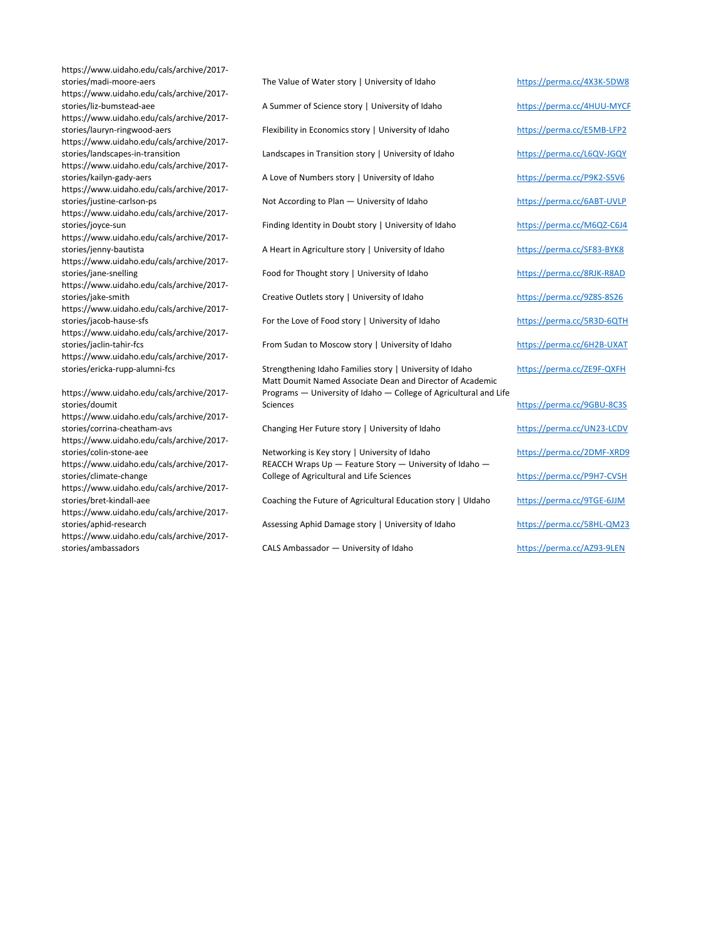https://www.uidaho.edu/cals/archive/2017 https://www.uidaho.edu/cals/archive/2017 https://www.uidaho.edu/cals/archive/2017 https://www.uidaho.edu/cals/archive/2017 https://www.uidaho.edu/cals/archive/2017 https://www.uidaho.edu/cals/archive/2017 https://www.uidaho.edu/cals/archive/2017 https://www.uidaho.edu/cals/archive/2017 https://www.uidaho.edu/cals/archive/2017 https://www.uidaho.edu/cals/archive/2017 https://www.uidaho.edu/cals/archive/2017 https://www.uidaho.edu/cals/archive/2017 https://www.uidaho.edu/cals/archive/2017 https://www.uidaho.edu/cals/archive/2017 stories/doumit https://www.uidaho.edu/cals/archive/2017 https://www.uidaho.edu/cals/archive/2017 https://www.uidaho.edu/cals/archive/2017 stories/climate-change https://www.uidaho.edu/cals/archive/2017-

https://www.uidaho.edu/cals/archive/2017-

https://www.uidaho.edu/cals/archive/2017 stories/ambassadors CALS Ambassador — University of Idaho https://perma.cc/AZ93-9LEN

stories/madi-moore-aers **The Value of Water story | University of Idaho** https://perma.cc/4X3K-5DW8 stories/liz-bumstead-aee A Summer of Science story | University of Idaho https://perma.cc/4HUU-MYCF stories/lauryn-ringwood-aers Flexibility in Economics story | University of Idaho https://perma.cc/E5MB-LFP2 stories/landscapes-in-transition Landscapes in Transition story | University of Idaho https://perma.cc/L6QV-JGQY stories/kailyn-gady-aers **A Love of Numbers story | University of Idaho** https://perma.cc/P9K2-S5V6 stories/justine-carlson-ps **Not According to Plan — University of Idaho** https://perma.cc/6ABT-UVLP stories/joyce-sun external content of Finding Identity in Doubt story | University of Idaho https://perma.cc/M6QZ-C6J4 stories/jenny-bautista **A Heart in Agriculture story | University of Idaho** https://perma.cc/SF83-BYK8 stories/jane-snelling entity of thought story | University of Idaho https://perma.cc/8RJK-R8AD stories/jake-smith Creative Outlets story | University of Idaho https://perma.cc/9Z8S-8S26 stories/jacob-hause-sfs **For the Love of Food story | University of Idaho** https://perma.cc/5R3D-6QTH stories/jaclin-tahir-fcs **From Sudan to Moscow story | University of Idaho** https://perma.cc/6H2B-UXAT stories/ericka-rupp-alumni-fcs Strengthening Idaho Families story | University of Idaho https://perma.cc/ZE9F-QXFH Matt Doumit Named Associate Dean and Director of Academic Programs — University of Idaho — College of Agricultural and Life Sciences https://perma.cc/9GBU-8C3S stories/corrina-cheatham-avs **Changing Her Future story | University of Idaho** https://perma.cc/UN23-LCDV stories/colin-stone-aee Networking is Key story | University of Idaho https://perma.cc/2DMF-XRD9 REACCH Wraps Up — Feature Story — University of Idaho — College of Agricultural and Life Sciences https://perma.cc/P9H7-CVSH

stories/bret-kindall-aee Coaching the Future of Agricultural Education story | UIdaho https://perma.cc/9TGE-6JJM

stories/aphid-research **Assessing Aphid Damage story | University of Idaho** https://perma.cc/58HL-QM23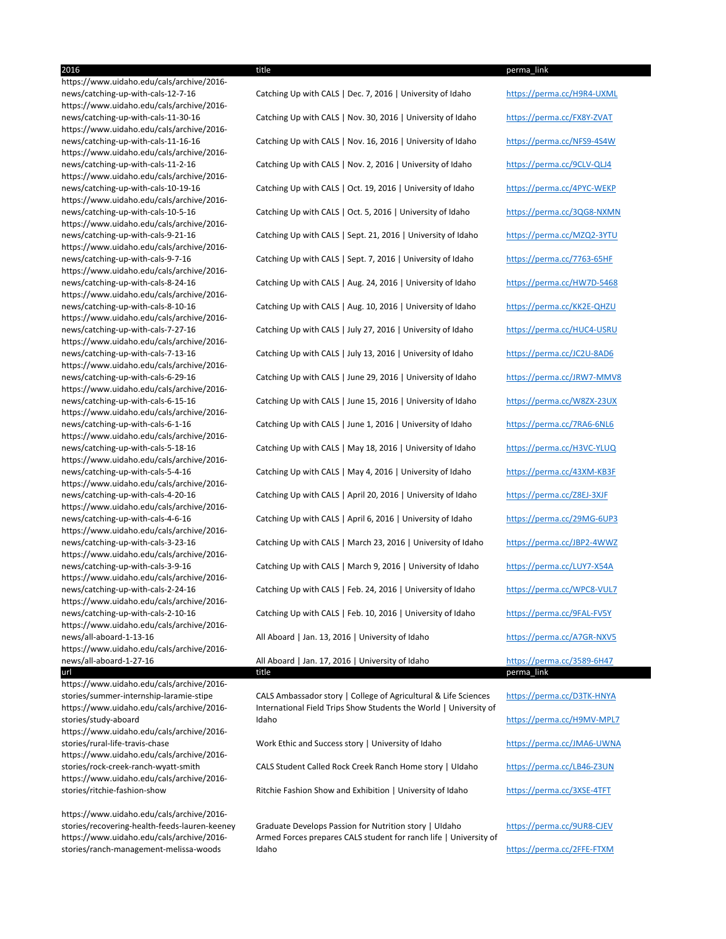2016 title perma\_link https://www.uidaho.edu/cals/archive/2016 https://www.uidaho.edu/cals/archive/2016 https://www.uidaho.edu/cals/archive/2016 https://www.uidaho.edu/cals/archive/2016 https://www.uidaho.edu/cals/archive/2016 https://www.uidaho.edu/cals/archive/2016 https://www.uidaho.edu/cals/archive/2016 https://www.uidaho.edu/cals/archive/2016 https://www.uidaho.edu/cals/archive/2016 https://www.uidaho.edu/cals/archive/2016 https://www.uidaho.edu/cals/archive/2016 https://www.uidaho.edu/cals/archive/2016 https://www.uidaho.edu/cals/archive/2016 https://www.uidaho.edu/cals/archive/2016 https://www.uidaho.edu/cals/archive/2016 https://www.uidaho.edu/cals/archive/2016 https://www.uidaho.edu/cals/archive/2016 https://www.uidaho.edu/cals/archive/2016 https://www.uidaho.edu/cals/archive/2016 https://www.uidaho.edu/cals/archive/2016 https://www.uidaho.edu/cals/archive/2016 https://www.uidaho.edu/cals/archive/2016 https://www.uidaho.edu/cals/archive/2016 https://www.uidaho.edu/cals/archive/2016 https://www.uidaho.edu/cals/archive/2016-

stories/summer-internship-laramie-stipe CALS Ambassador story | College of Agricultural & Life Sciences https://perma.cc/D3TK-HNYA International Field Trips Show Students the World | University of Idaho https://perma.cc/H9MV-MPL7

url title title to be made that the series of the perma\_link of the perma\_link of  $\sim$ 

stories/rock-creek-ranch-wyatt-smith CALS Student Called Rock Creek Ranch Home story | UIdaho https://perma.cc/LB46-Z3UN

stories/ritchie-fashion-show **Ritchie Fashion Show and Exhibition** | University of Idaho https://perma.cc/3XSE-4TFT

https://www.uidaho.edu/cals/archive/2016 https://www.uidaho.edu/cals/archive/2016 stories/study-aboard https://www.uidaho.edu/cals/archive/2016 stories/rural-life-travis-chase **Work Ethic and Success story** | University of Idaho https://perma.cc/JMA6-UWNA https://www.uidaho.edu/cals/archive/2016 https://www.uidaho.edu/cals/archive/2016-

news/catching-up-with-cals-12-7-16 Catching Up with CALS | Dec. 7, 2016 | University of Idaho https://perma.cc/H9R4-UXML news/catching-up-with-cals-11-30-16 Catching Up with CALS | Nov. 30, 2016 | University of Idaho https://perma.cc/FX8Y-ZVAT news/catching-up-with-cals-11-16-16 Catching Up with CALS | Nov. 16, 2016 | University of Idaho https://perma.cc/NFS9-4S4W news/catching-up-with-cals-11-2-16 Catching Up with CALS | Nov. 2, 2016 | University of Idaho https://perma.cc/9CLV-QLJ4 news/catching-up-with-cals-10-19-16 Catching Up with CALS | Oct. 19, 2016 | University of Idaho https://perma.cc/4PYC-WEKP news/catching-up-with-cals-10-5-16 Catching Up with CALS | Oct. 5, 2016 | University of Idaho https://perma.cc/3QG8-NXMN news/catching-up-with-cals-9-21-16 Catching Up with CALS | Sept. 21, 2016 | University of Idaho https://perma.cc/MZQ2-3YTU news/catching-up-with-cals-9-7-16 Catching Up with CALS | Sept. 7, 2016 | University of Idaho https://perma.cc/7763-65HF news/catching-up-with-cals-8-24-16 Catching Up with CALS | Aug. 24, 2016 | University of Idaho https://perma.cc/HW7D-5468 news/catching-up-with-cals-8-10-16 Catching Up with CALS | Aug. 10, 2016 | University of Idaho https://perma.cc/KK2E-QHZU news/catching-up-with-cals-7-27-16 Catching Up with CALS | July 27, 2016 | University of Idaho https://perma.cc/HUC4-USRU news/catching-up-with-cals-7-13-16 Catching Up with CALS | July 13, 2016 | University of Idaho https://perma.cc/JC2U-8AD6 news/catching-up-with-cals-6-29-16 Catching Up with CALS | June 29, 2016 | University of Idaho https://perma.cc/JRW7-MMV8 news/catching-up-with-cals-6-15-16 Catching Up with CALS | June 15, 2016 | University of Idaho https://perma.cc/W8ZX-23UX news/catching-up-with-cals-6-1-16 Catching Up with CALS | June 1, 2016 | University of Idaho https://perma.cc/7RA6-6NL6 news/catching-up-with-cals-5-18-16 Catching Up with CALS | May 18, 2016 | University of Idaho https://perma.cc/H3VC-YLUQ news/catching-up-with-cals-5-4-16 Catching Up with CALS | May 4, 2016 | University of Idaho https://perma.cc/43XM-KB3F news/catching-up-with-cals-4-20-16 Catching Up with CALS | April 20, 2016 | University of Idaho https://perma.cc/Z8EJ-3XJF news/catching-up-with-cals-4-6-16 Catching Up with CALS | April 6, 2016 | University of Idaho https://perma.cc/29MG-6UP3 news/catching-up-with-cals-3-23-16 Catching Up with CALS | March 23, 2016 | University of Idaho https://perma.cc/JBP2-4WWZ news/catching-up-with-cals-3-9-16 Catching Up with CALS | March 9, 2016 | University of Idaho https://perma.cc/LUY7-X54A news/catching-up-with-cals-2-24-16 Catching Up with CALS | Feb. 24, 2016 | University of Idaho https://perma.cc/WPC8-VUL7 news/catching-up-with-cals-2-10-16 Catching Up with CALS | Feb. 10, 2016 | University of Idaho https://perma.cc/9FAL-FV5Y news/all-aboard-1-13-16 All Aboard | Jan. 13, 2016 | University of Idaho https://perma.cc/A7GR-NXV5 news/all-aboard-1-27-16 All Aboard | Jan. 17, 2016 | University of Idaho https://perma.cc/3589-6H47

https://www.uidaho.edu/cals/archive/2016 https://www.uidaho.edu/cals/archive/2016 stories/ranch-management-melissa-woods

stories/recovering-health-feeds-lauren-keeney Graduate Develops Passion for Nutrition story | UIdaho https://perma.cc/9UR8-CJEV Armed Forces prepares CALS student for ranch life | University of Idaho https://perma.cc/2FFE-FTXM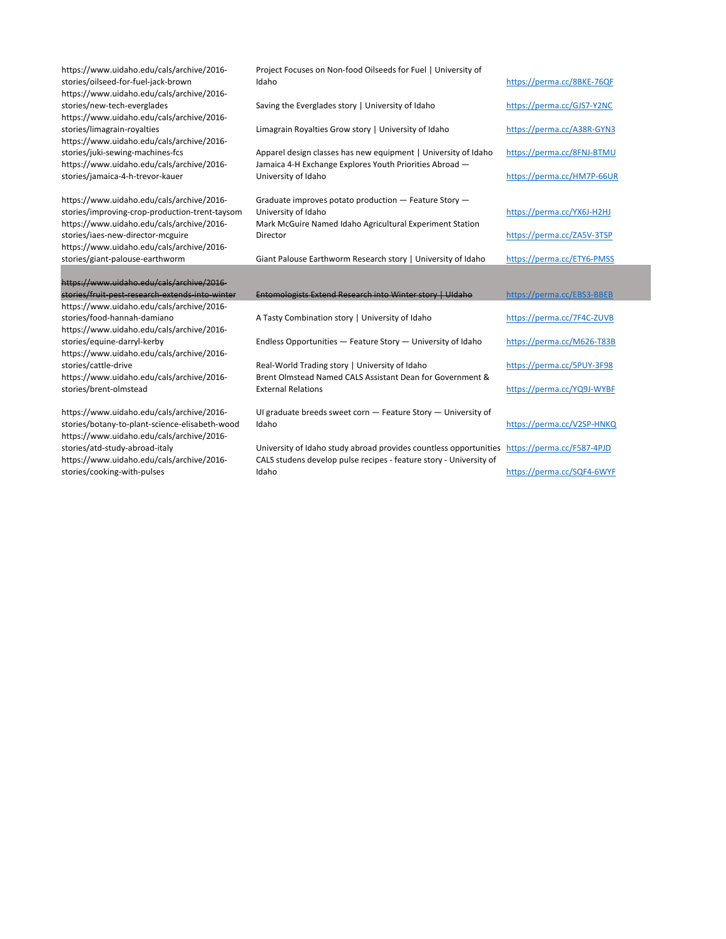| https://www.uidaho.edu/cals/archive/2016-<br>stories/oilseed-for-fuel-jack-brown                                                         | Project Focuses on Non-food Oilseeds for Fuel   University of<br>Idaho                                                                                             | https://perma.cc/8BKE-76QF |
|------------------------------------------------------------------------------------------------------------------------------------------|--------------------------------------------------------------------------------------------------------------------------------------------------------------------|----------------------------|
| https://www.uidaho.edu/cals/archive/2016-<br>stories/new-tech-everglades<br>https://www.uidaho.edu/cals/archive/2016-                    | Saving the Everglades story   University of Idaho                                                                                                                  | https://perma.cc/GJS7-Y2NC |
| stories/limagrain-royalties<br>https://www.uidaho.edu/cals/archive/2016-                                                                 | Limagrain Royalties Grow story   University of Idaho                                                                                                               | https://perma.cc/A38R-GYN3 |
| stories/juki-sewing-machines-fcs<br>https://www.uidaho.edu/cals/archive/2016-                                                            | Apparel design classes has new equipment   University of Idaho<br>Jamaica 4-H Exchange Explores Youth Priorities Abroad -                                          | https://perma.cc/8FNJ-BTMU |
| stories/jamaica-4-h-trevor-kauer                                                                                                         | University of Idaho                                                                                                                                                | https://perma.cc/HM7P-66UR |
| https://www.uidaho.edu/cals/archive/2016-<br>stories/improving-crop-production-trent-taysom<br>https://www.uidaho.edu/cals/archive/2016- | Graduate improves potato production - Feature Story -<br>University of Idaho<br>Mark McGuire Named Idaho Agricultural Experiment Station                           | https://perma.cc/YX6J-H2HJ |
| stories/iaes-new-director-mcguire<br>https://www.uidaho.edu/cals/archive/2016-                                                           | Director                                                                                                                                                           | https://perma.cc/ZA5V-3TSP |
| stories/giant-palouse-earthworm                                                                                                          | Giant Palouse Earthworm Research story   University of Idaho                                                                                                       | https://perma.cc/ETY6-PMSS |
|                                                                                                                                          |                                                                                                                                                                    |                            |
| https://www.uidaho.edu/cals/archive/2016-                                                                                                |                                                                                                                                                                    |                            |
| stories/fruit-pest-research-extends-into-winter                                                                                          | Entomologists Extend Research into Winter story   Uldaho                                                                                                           | https://perma.cc/EBS3-BBEB |
| https://www.uidaho.edu/cals/archive/2016-                                                                                                |                                                                                                                                                                    |                            |
| stories/food-hannah-damiano                                                                                                              | A Tasty Combination story   University of Idaho                                                                                                                    | https://perma.cc/7F4C-ZUVB |
| https://www.uidaho.edu/cals/archive/2016-                                                                                                |                                                                                                                                                                    |                            |
| stories/equine-darryl-kerby<br>https://www.uidaho.edu/cals/archive/2016-                                                                 | Endless Opportunities - Feature Story - University of Idaho                                                                                                        | https://perma.cc/M626-T83B |
| stories/cattle-drive                                                                                                                     | Real-World Trading story   University of Idaho                                                                                                                     | https://perma.cc/5PUY-3F98 |
| https://www.uidaho.edu/cals/archive/2016-<br>stories/brent-olmstead                                                                      | Brent Olmstead Named CALS Assistant Dean for Government &<br><b>External Relations</b>                                                                             | https://perma.cc/YQ9J-WYBF |
|                                                                                                                                          |                                                                                                                                                                    |                            |
| https://www.uidaho.edu/cals/archive/2016-<br>stories/botany-to-plant-science-elisabeth-wood<br>https://www.uidaho.edu/cals/archive/2016- | Ul graduate breeds sweet corn - Feature Story - University of<br>Idaho                                                                                             | https://perma.cc/V2SP-HNKQ |
| stories/atd-study-abroad-italy<br>https://www.uidaho.edu/cals/archive/2016-                                                              | University of Idaho study abroad provides countless opportunities https://perma.cc/F587-4PJD<br>CALS studens develop pulse recipes - feature story - University of |                            |
| stories/cooking-with-pulses                                                                                                              | Idaho                                                                                                                                                              | https://perma.cc/SQF4-6WYF |